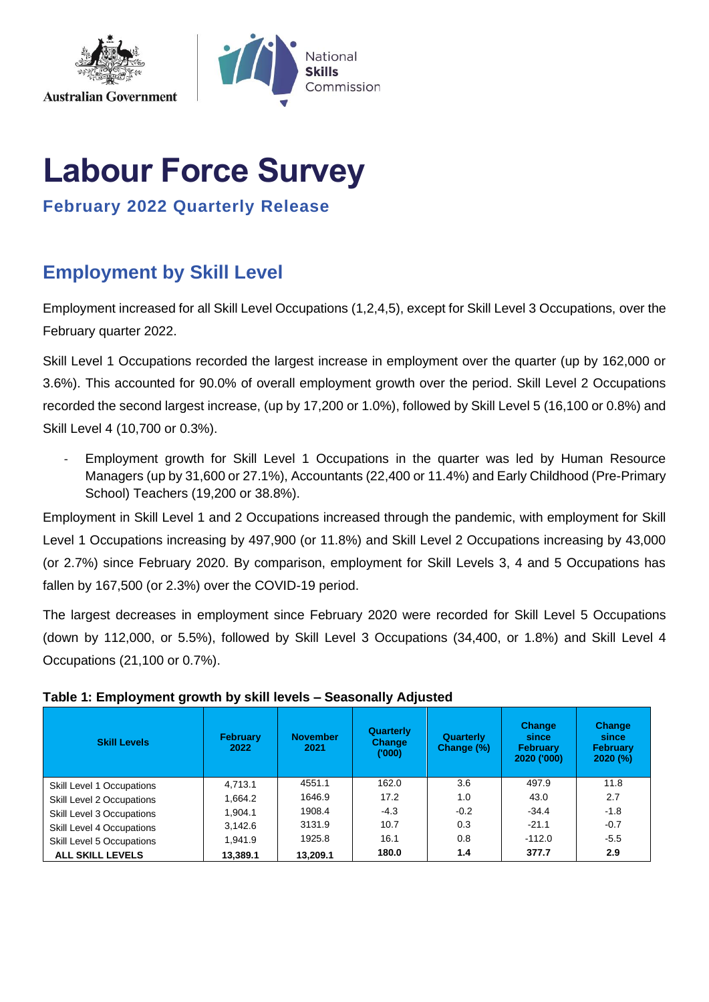

# **Labour Force Survey**

**February 2022 Quarterly Release**

# **Employment by Skill Level**

Employment increased for all Skill Level Occupations (1,2,4,5), except for Skill Level 3 Occupations, over the February quarter 2022.

Skill Level 1 Occupations recorded the largest increase in employment over the quarter (up by 162,000 or 3.6%). This accounted for 90.0% of overall employment growth over the period. Skill Level 2 Occupations recorded the second largest increase, (up by 17,200 or 1.0%), followed by Skill Level 5 (16,100 or 0.8%) and Skill Level 4 (10,700 or 0.3%).

Employment growth for Skill Level 1 Occupations in the quarter was led by Human Resource Managers (up by 31,600 or 27.1%), Accountants (22,400 or 11.4%) and Early Childhood (Pre-Primary School) Teachers (19,200 or 38.8%).

Employment in Skill Level 1 and 2 Occupations increased through the pandemic, with employment for Skill Level 1 Occupations increasing by 497,900 (or 11.8%) and Skill Level 2 Occupations increasing by 43,000 (or 2.7%) since February 2020. By comparison, employment for Skill Levels 3, 4 and 5 Occupations has fallen by 167,500 (or 2.3%) over the COVID-19 period.

The largest decreases in employment since February 2020 were recorded for Skill Level 5 Occupations (down by 112,000, or 5.5%), followed by Skill Level 3 Occupations (34,400, or 1.8%) and Skill Level 4 Occupations (21,100 or 0.7%).

| <b>Skill Levels</b>       | <b>February</b><br>2022 | <b>November</b><br>2021 | Quarterly<br><b>Change</b><br>(000) | Quarterly<br>Change (%) | <b>Change</b><br>since<br><b>February</b><br>2020 ('000) | <b>Change</b><br>since<br><b>February</b><br>$2020$ (%) |
|---------------------------|-------------------------|-------------------------|-------------------------------------|-------------------------|----------------------------------------------------------|---------------------------------------------------------|
| Skill Level 1 Occupations | 4.713.1                 | 4551.1                  | 162.0                               | 3.6                     | 497.9                                                    | 11.8                                                    |
| Skill Level 2 Occupations | 1.664.2                 | 1646.9                  | 17.2                                | 1.0                     | 43.0                                                     | 2.7                                                     |
| Skill Level 3 Occupations | 1.904.1                 | 1908.4                  | $-4.3$                              | $-0.2$                  | $-34.4$                                                  | $-1.8$                                                  |
| Skill Level 4 Occupations | 3.142.6                 | 3131.9                  | 10.7                                | 0.3                     | $-21.1$                                                  | $-0.7$                                                  |
| Skill Level 5 Occupations | 1.941.9                 | 1925.8                  | 16.1                                | 0.8                     | $-112.0$                                                 | $-5.5$                                                  |
| <b>ALL SKILL LEVELS</b>   | 13,389.1                | 13.209.1                | 180.0                               | 1.4                     | 377.7                                                    | 2.9                                                     |

## **Table 1: Employment growth by skill levels – Seasonally Adjusted**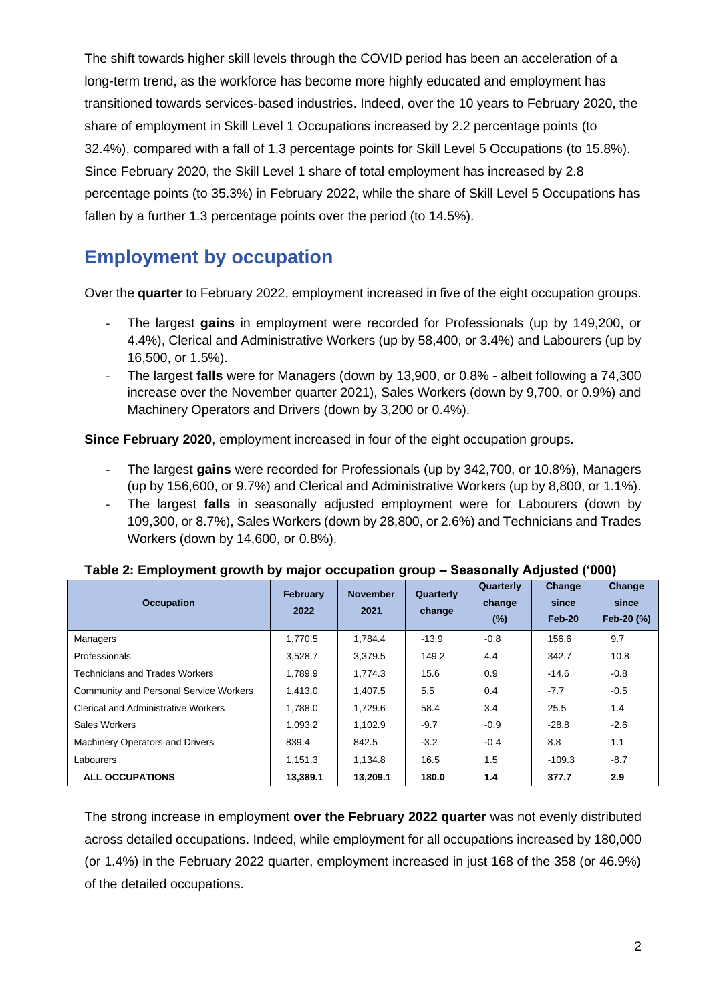The shift towards higher skill levels through the COVID period has been an acceleration of a long-term trend, as the workforce has become more highly educated and employment has transitioned towards services-based industries. Indeed, over the 10 years to February 2020, the share of employment in Skill Level 1 Occupations increased by 2.2 percentage points (to 32.4%), compared with a fall of 1.3 percentage points for Skill Level 5 Occupations (to 15.8%). Since February 2020, the Skill Level 1 share of total employment has increased by 2.8 percentage points (to 35.3%) in February 2022, while the share of Skill Level 5 Occupations has fallen by a further 1.3 percentage points over the period (to 14.5%).

## **Employment by occupation**

Over the **quarter** to February 2022, employment increased in five of the eight occupation groups.

- The largest **gains** in employment were recorded for Professionals (up by 149,200, or 4.4%), Clerical and Administrative Workers (up by 58,400, or 3.4%) and Labourers (up by 16,500, or 1.5%).
- The largest **falls** were for Managers (down by 13,900, or 0.8% albeit following a 74,300 increase over the November quarter 2021), Sales Workers (down by 9,700, or 0.9%) and Machinery Operators and Drivers (down by 3,200 or 0.4%).

**Since February 2020**, employment increased in four of the eight occupation groups.

- The largest **gains** were recorded for Professionals (up by 342,700, or 10.8%), Managers (up by 156,600, or 9.7%) and Clerical and Administrative Workers (up by 8,800, or 1.1%).
- The largest **falls** in seasonally adjusted employment were for Labourers (down by 109,300, or 8.7%), Sales Workers (down by 28,800, or 2.6%) and Technicians and Trades Workers (down by 14,600, or 0.8%).

| <b>Occupation</b>                             | February<br>2022 | <b>November</b><br>2021 | Quarterly<br>change | Quarterly<br>change<br>$(\%)$ | Change<br>since<br>Feb-20 | <b>Change</b><br>since<br>Feb-20 (%) |
|-----------------------------------------------|------------------|-------------------------|---------------------|-------------------------------|---------------------------|--------------------------------------|
| <b>Managers</b>                               | 1,770.5          | 1,784.4                 | $-13.9$             | $-0.8$                        | 156.6                     | 9.7                                  |
| Professionals                                 | 3.528.7          | 3,379.5                 | 149.2               | 4.4                           | 342.7                     | 10.8                                 |
| Technicians and Trades Workers                | 1,789.9          | 1,774.3                 | 15.6                | 0.9                           | $-14.6$                   | $-0.8$                               |
| <b>Community and Personal Service Workers</b> | 1,413.0          | 1,407.5                 | 5.5                 | 0.4                           | $-7.7$                    | $-0.5$                               |
| <b>Clerical and Administrative Workers</b>    | 1.788.0          | 1,729.6                 | 58.4                | 3.4                           | 25.5                      | 1.4                                  |
| Sales Workers                                 | 1.093.2          | 1,102.9                 | $-9.7$              | $-0.9$                        | $-28.8$                   | $-2.6$                               |
| <b>Machinery Operators and Drivers</b>        | 839.4            | 842.5                   | $-3.2$              | $-0.4$                        | 8.8                       | 1.1                                  |
| Labourers                                     | 1.151.3          | 1,134.8                 | 16.5                | 1.5                           | $-109.3$                  | $-8.7$                               |
| <b>ALL OCCUPATIONS</b>                        | 13,389.1         | 13,209.1                | 180.0               | 1.4                           | 377.7                     | 2.9                                  |

#### **Table 2: Employment growth by major occupation group – Seasonally Adjusted ('000)**

The strong increase in employment **over the February 2022 quarter** was not evenly distributed across detailed occupations. Indeed, while employment for all occupations increased by 180,000 (or 1.4%) in the February 2022 quarter, employment increased in just 168 of the 358 (or 46.9%) of the detailed occupations.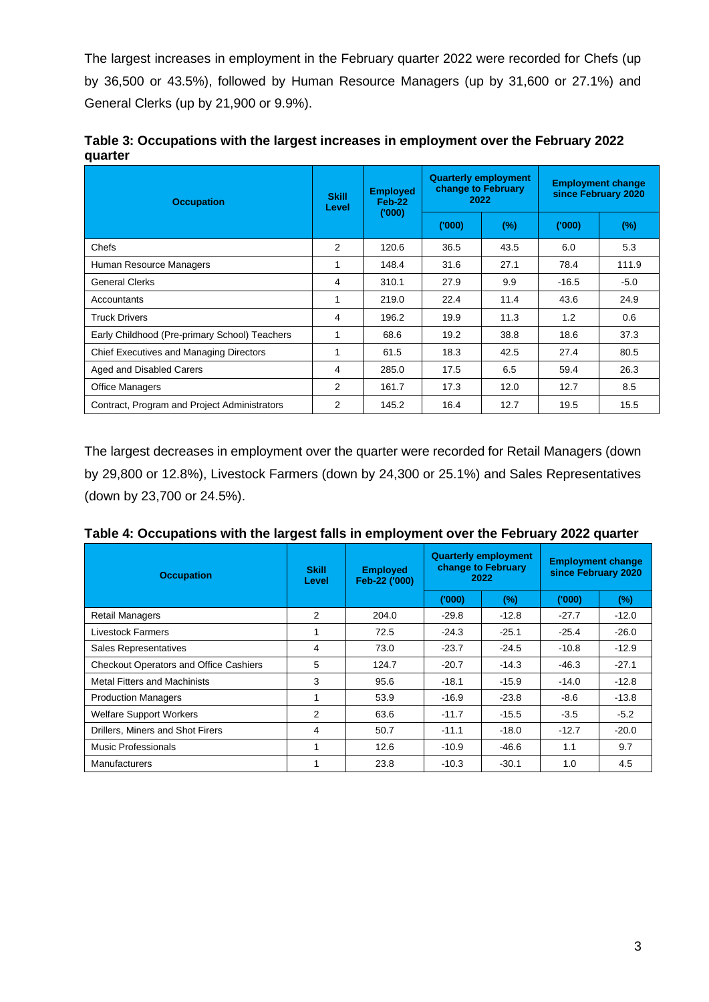The largest increases in employment in the February quarter 2022 were recorded for Chefs (up by 36,500 or 43.5%), followed by Human Resource Managers (up by 31,600 or 27.1%) and General Clerks (up by 21,900 or 9.9%).

| Table 3: Occupations with the largest increases in employment over the February 2022 |  |
|--------------------------------------------------------------------------------------|--|
| quarter                                                                              |  |

| <b>Occupation</b>                              | <b>Skill</b><br>Level | <b>Employed</b><br>Feb-22<br>(000) | change to February<br>2022 | <b>Quarterly employment</b> | <b>Employment change</b><br>since February 2020 |        |
|------------------------------------------------|-----------------------|------------------------------------|----------------------------|-----------------------------|-------------------------------------------------|--------|
|                                                |                       |                                    | ('000')                    | $(\%)$                      | (000)                                           | $(\%)$ |
| Chefs                                          | 2                     | 120.6                              | 36.5                       | 43.5                        | 6.0                                             | 5.3    |
| Human Resource Managers                        |                       | 148.4                              | 31.6                       | 27.1                        | 78.4                                            | 111.9  |
| <b>General Clerks</b>                          | 4                     | 310.1                              | 27.9                       | 9.9                         | $-16.5$                                         | $-5.0$ |
| Accountants                                    |                       | 219.0                              | 22.4                       | 11.4                        | 43.6                                            | 24.9   |
| <b>Truck Drivers</b>                           | 4                     | 196.2                              | 19.9                       | 11.3                        | 1.2                                             | 0.6    |
| Early Childhood (Pre-primary School) Teachers  |                       | 68.6                               | 19.2                       | 38.8                        | 18.6                                            | 37.3   |
| <b>Chief Executives and Managing Directors</b> |                       | 61.5                               | 18.3                       | 42.5                        | 27.4                                            | 80.5   |
| Aged and Disabled Carers                       | 4                     | 285.0                              | 17.5                       | 6.5                         | 59.4                                            | 26.3   |
| <b>Office Managers</b>                         | 2                     | 161.7                              | 17.3                       | 12.0                        | 12.7                                            | 8.5    |
| Contract, Program and Project Administrators   | 2                     | 145.2                              | 16.4                       | 12.7                        | 19.5                                            | 15.5   |

The largest decreases in employment over the quarter were recorded for Retail Managers (down by 29,800 or 12.8%), Livestock Farmers (down by 24,300 or 25.1%) and Sales Representatives (down by 23,700 or 24.5%).

| <b>Occupation</b>                             | <b>Skill</b><br>Level | <b>Employed</b><br>Feb-22 ('000) |         | <b>Quarterly employment</b><br>change to February<br>2022 | <b>Employment change</b><br>since February 2020 |         |  |
|-----------------------------------------------|-----------------------|----------------------------------|---------|-----------------------------------------------------------|-------------------------------------------------|---------|--|
|                                               |                       |                                  | (000)   | $(\%)$                                                    | (000)                                           | $(\%)$  |  |
| Retail Managers                               | 2                     | 204.0                            | $-29.8$ | $-12.8$                                                   | $-27.7$                                         | $-12.0$ |  |
| <b>Livestock Farmers</b>                      | 1                     | 72.5                             | $-24.3$ | $-25.1$                                                   | $-25.4$                                         | $-26.0$ |  |
| Sales Representatives                         | 4                     | 73.0                             | $-23.7$ | $-24.5$                                                   | $-10.8$                                         | $-12.9$ |  |
| <b>Checkout Operators and Office Cashiers</b> | 5                     | 124.7                            | $-20.7$ | $-14.3$                                                   | $-46.3$                                         | $-27.1$ |  |
| <b>Metal Fitters and Machinists</b>           | 3                     | 95.6                             | $-18.1$ | $-15.9$                                                   | $-14.0$                                         | $-12.8$ |  |
| <b>Production Managers</b>                    |                       | 53.9                             | $-16.9$ | $-23.8$                                                   | $-8.6$                                          | $-13.8$ |  |
| <b>Welfare Support Workers</b>                | 2                     | 63.6                             | $-11.7$ | $-15.5$                                                   | $-3.5$                                          | $-5.2$  |  |
| Drillers, Miners and Shot Firers              | 4                     | 50.7                             | $-11.1$ | $-18.0$                                                   | $-12.7$                                         | $-20.0$ |  |
| Music Professionals                           | 1                     | 12.6                             | $-10.9$ | $-46.6$                                                   | 1.1                                             | 9.7     |  |
| <b>Manufacturers</b>                          |                       | 23.8                             | $-10.3$ | $-30.1$                                                   | 1.0                                             | 4.5     |  |

**Table 4: Occupations with the largest falls in employment over the February 2022 quarter**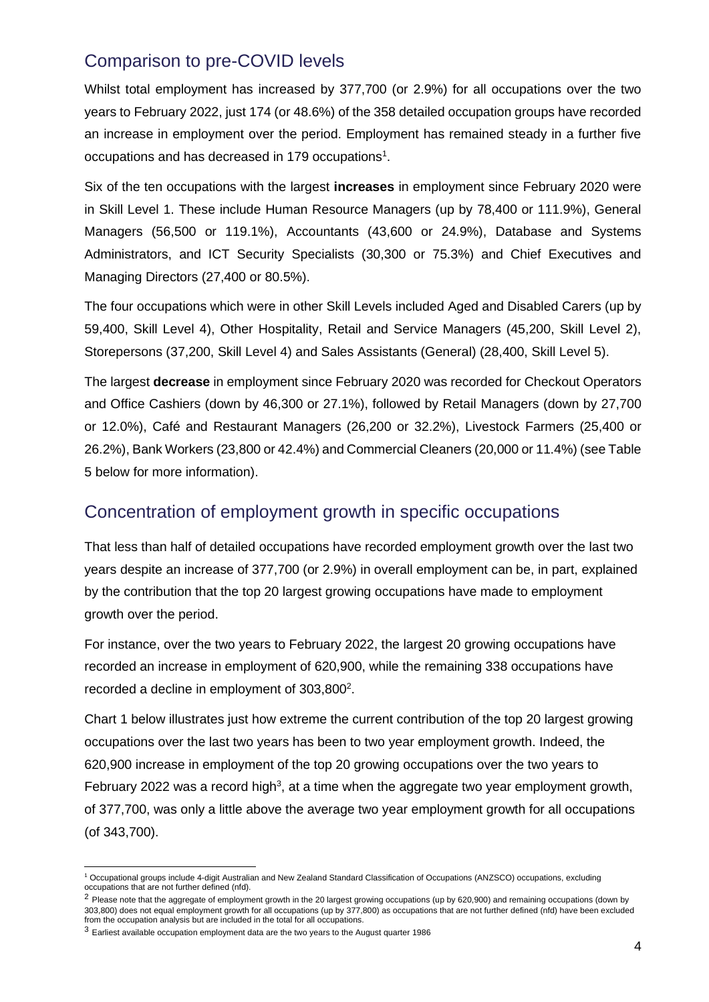## Comparison to pre-COVID levels

Whilst total employment has increased by 377,700 (or 2.9%) for all occupations over the two years to February 2022, just 174 (or 48.6%) of the 358 detailed occupation groups have recorded an increase in employment over the period. Employment has remained steady in a further five occupations and has decreased in 179 occupations<sup>1</sup>.

Six of the ten occupations with the largest **increases** in employment since February 2020 were in Skill Level 1. These include Human Resource Managers (up by 78,400 or 111.9%), General Managers (56,500 or 119.1%), Accountants (43,600 or 24.9%), Database and Systems Administrators, and ICT Security Specialists (30,300 or 75.3%) and Chief Executives and Managing Directors (27,400 or 80.5%).

The four occupations which were in other Skill Levels included Aged and Disabled Carers (up by 59,400, Skill Level 4), Other Hospitality, Retail and Service Managers (45,200, Skill Level 2), Storepersons (37,200, Skill Level 4) and Sales Assistants (General) (28,400, Skill Level 5).

The largest **decrease** in employment since February 2020 was recorded for Checkout Operators and Office Cashiers (down by 46,300 or 27.1%), followed by Retail Managers (down by 27,700 or 12.0%), Café and Restaurant Managers (26,200 or 32.2%), Livestock Farmers (25,400 or 26.2%), Bank Workers (23,800 or 42.4%) and Commercial Cleaners (20,000 or 11.4%) (see Table 5 below for more information).

## Concentration of employment growth in specific occupations

That less than half of detailed occupations have recorded employment growth over the last two years despite an increase of 377,700 (or 2.9%) in overall employment can be, in part, explained by the contribution that the top 20 largest growing occupations have made to employment growth over the period.

For instance, over the two years to February 2022, the largest 20 growing occupations have recorded an increase in employment of 620,900, while the remaining 338 occupations have recorded a decline in employment of  $303,800^2$ .

Chart 1 below illustrates just how extreme the current contribution of the top 20 largest growing occupations over the last two years has been to two year employment growth. Indeed, the 620,900 increase in employment of the top 20 growing occupations over the two years to February 2022 was a record high<sup>3</sup>, at a time when the aggregate two year employment growth, of 377,700, was only a little above the average two year employment growth for all occupations (of 343,700).

<sup>1</sup> Occupational groups include 4-digit Australian and New Zealand Standard Classification of Occupations (ANZSCO) occupations, excluding occupations that are not further defined (nfd).

<sup>&</sup>lt;sup>2</sup> Please note that the aggregate of employment growth in the 20 largest growing occupations (up by 620,900) and remaining occupations (down by 303,800) does not equal employment growth for all occupations (up by 377,800) as occupations that are not further defined (nfd) have been excluded from the occupation analysis but are included in the total for all occupations.

<sup>3</sup> Earliest available occupation employment data are the two years to the August quarter 1986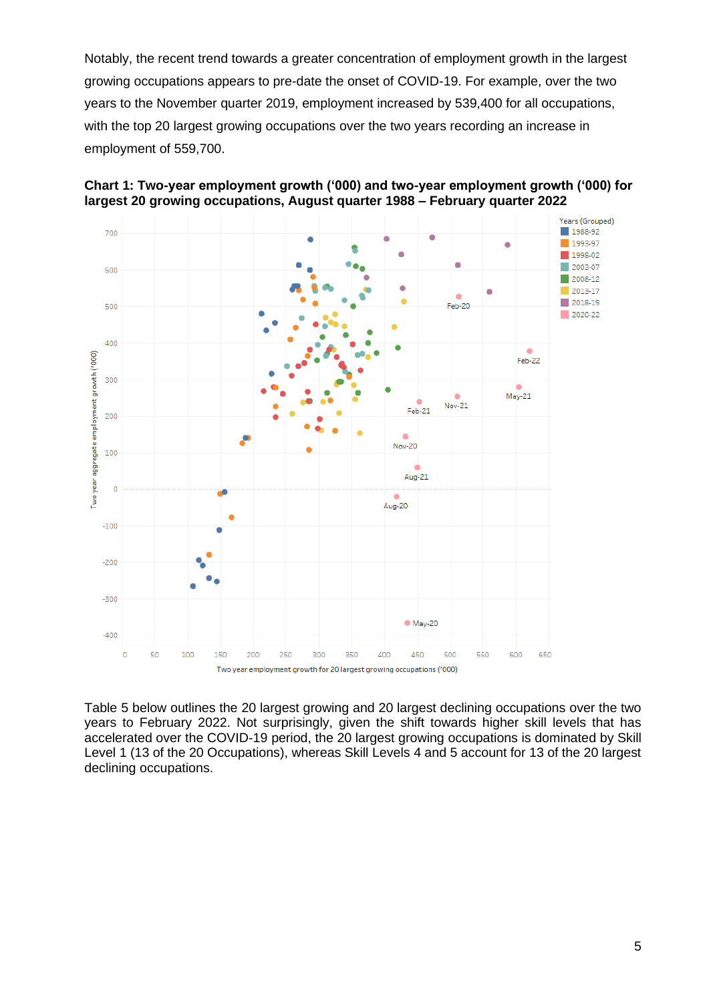Notably, the recent trend towards a greater concentration of employment growth in the largest growing occupations appears to pre-date the onset of COVID-19. For example, over the two years to the November quarter 2019, employment increased by 539,400 for all occupations, with the top 20 largest growing occupations over the two years recording an increase in employment of 559,700.





Table 5 below outlines the 20 largest growing and 20 largest declining occupations over the two years to February 2022. Not surprisingly, given the shift towards higher skill levels that has accelerated over the COVID-19 period, the 20 largest growing occupations is dominated by Skill Level 1 (13 of the 20 Occupations), whereas Skill Levels 4 and 5 account for 13 of the 20 largest declining occupations.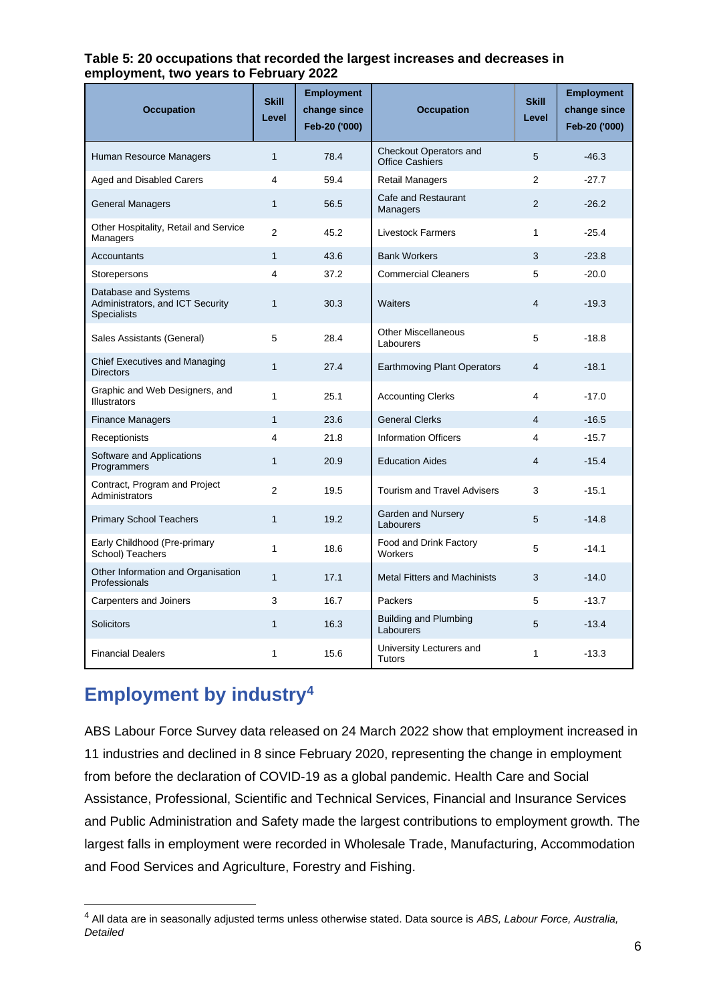#### **Table 5: 20 occupations that recorded the largest increases and decreases in employment, two years to February 2022**

| <b>Occupation</b>                                                              | <b>Skill</b><br>Level | <b>Employment</b><br>change since<br>Feb-20 ('000) | <b>Occupation</b>                                | <b>Skill</b><br>Level | <b>Employment</b><br>change since<br>Feb-20 ('000) |
|--------------------------------------------------------------------------------|-----------------------|----------------------------------------------------|--------------------------------------------------|-----------------------|----------------------------------------------------|
| Human Resource Managers                                                        | $\mathbf{1}$          | 78.4                                               | Checkout Operators and<br><b>Office Cashiers</b> | 5                     | $-46.3$                                            |
| Aged and Disabled Carers                                                       | 4                     | 59.4                                               | Retail Managers                                  | $\overline{2}$        | $-27.7$                                            |
| <b>General Managers</b>                                                        | $\mathbf{1}$          | 56.5                                               | Cafe and Restaurant<br>Managers                  | $\overline{2}$        | $-26.2$                                            |
| Other Hospitality, Retail and Service<br>Managers                              | 2                     | 45.2                                               | <b>Livestock Farmers</b>                         | 1                     | $-25.4$                                            |
| Accountants                                                                    | $\mathbf{1}$          | 43.6                                               | <b>Bank Workers</b>                              | 3                     | $-23.8$                                            |
| Storepersons                                                                   | 4                     | 37.2                                               | <b>Commercial Cleaners</b>                       | 5                     | $-20.0$                                            |
| Database and Systems<br>Administrators, and ICT Security<br><b>Specialists</b> | $\mathbf{1}$          | 30.3                                               | Waiters                                          | $\overline{4}$        | $-19.3$                                            |
| Sales Assistants (General)                                                     | 5                     | 28.4                                               | <b>Other Miscellaneous</b><br>Labourers          | 5                     | $-18.8$                                            |
| Chief Executives and Managing<br><b>Directors</b>                              | $\mathbf{1}$          | 27.4                                               | <b>Earthmoving Plant Operators</b>               | $\overline{4}$        | $-18.1$                                            |
| Graphic and Web Designers, and<br><b>Illustrators</b>                          | $\mathbf{1}$          | 25.1                                               | <b>Accounting Clerks</b>                         | 4                     | $-17.0$                                            |
| <b>Finance Managers</b>                                                        | $\mathbf{1}$          | 23.6                                               | <b>General Clerks</b>                            | 4                     | $-16.5$                                            |
| Receptionists                                                                  | 4                     | 21.8                                               | Information Officers                             | 4                     | $-15.7$                                            |
| Software and Applications<br>Programmers                                       | $\mathbf{1}$          | 20.9                                               | <b>Education Aides</b>                           | 4                     | $-15.4$                                            |
| Contract, Program and Project<br>Administrators                                | 2                     | 19.5                                               | <b>Tourism and Travel Advisers</b>               | 3                     | $-15.1$                                            |
| <b>Primary School Teachers</b>                                                 | $\mathbf{1}$          | 19.2                                               | Garden and Nursery<br>Labourers                  | 5                     | $-14.8$                                            |
| Early Childhood (Pre-primary<br>School) Teachers                               | $\mathbf{1}$          | 18.6                                               | Food and Drink Factory<br>Workers                | 5                     | $-14.1$                                            |
| Other Information and Organisation<br>Professionals                            | $\mathbf{1}$          | 17.1                                               | <b>Metal Fitters and Machinists</b>              | 3                     | $-14.0$                                            |
| Carpenters and Joiners                                                         | 3                     | 16.7                                               | Packers                                          | 5                     | $-13.7$                                            |
| <b>Solicitors</b>                                                              | $\mathbf{1}$          | 16.3                                               | <b>Building and Plumbing</b><br>Labourers        | 5                     | $-13.4$                                            |
| <b>Financial Dealers</b>                                                       | $\mathbf{1}$          | 15.6                                               | University Lecturers and<br>Tutors               | 1                     | $-13.3$                                            |

# **Employment by industry<sup>4</sup>**

ABS Labour Force Survey data released on 24 March 2022 show that employment increased in 11 industries and declined in 8 since February 2020, representing the change in employment from before the declaration of COVID-19 as a global pandemic. Health Care and Social Assistance, Professional, Scientific and Technical Services, Financial and Insurance Services and Public Administration and Safety made the largest contributions to employment growth. The largest falls in employment were recorded in Wholesale Trade, Manufacturing, Accommodation and Food Services and Agriculture, Forestry and Fishing.

<sup>4</sup> All data are in seasonally adjusted terms unless otherwise stated. Data source is *ABS, Labour Force, Australia, Detailed*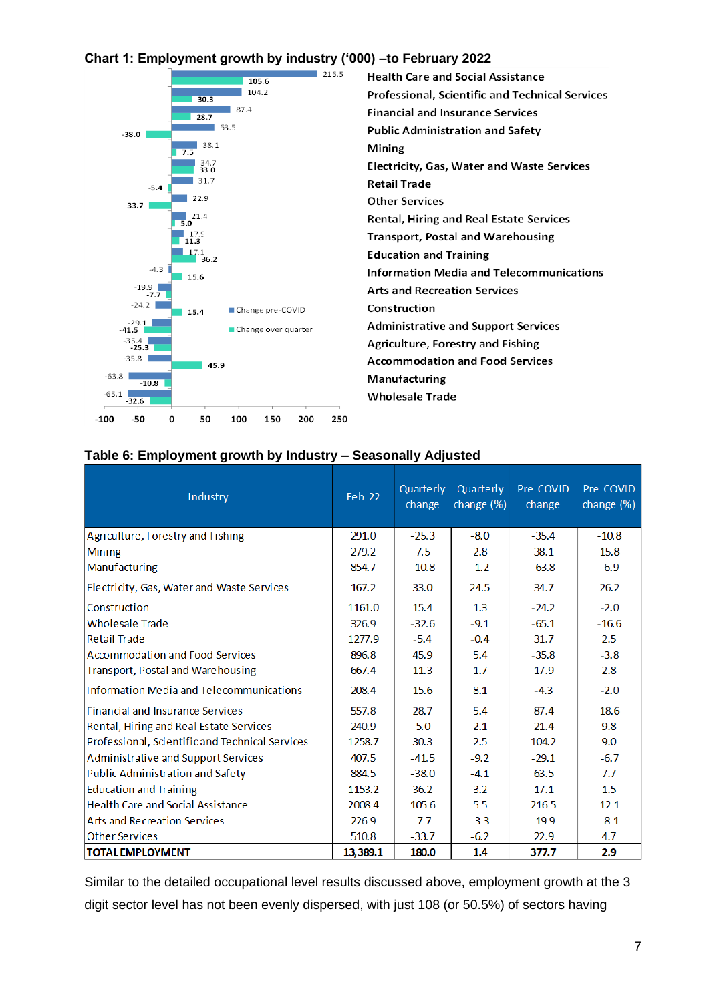## **Chart 1: Employment growth by industry ('000) –to February 2022**



**Health Care and Social Assistance** Professional, Scientific and Technical Services **Financial and Insurance Services Public Administration and Safety** Mining Electricity, Gas, Water and Waste Services **Retail Trade Other Services** Rental, Hiring and Real Estate Services Transport, Postal and Warehousing **Education and Training Information Media and Telecommunications Arts and Recreation Services** Construction **Administrative and Support Services** Agriculture, Forestry and Fishing **Accommodation and Food Services** Manufacturing **Wholesale Trade** 

## **Table 6: Employment growth by Industry – Seasonally Adjusted**

| Industry                                        | $Feb-22$ | Quarterly<br>change | Quarterly<br>change (%) | Pre-COVID<br>change | Pre-COVID<br>change $(\%)$ |
|-------------------------------------------------|----------|---------------------|-------------------------|---------------------|----------------------------|
| Agriculture, Forestry and Fishing               | 291.0    | $-25.3$             | $-8.0$                  | $-35.4$             | $-10.8$                    |
| <b>Mining</b>                                   | 279.2    | 7.5                 | 2.8                     | 38.1                | 15.8                       |
| Manufacturing                                   | 854.7    | $-10.8$             | $-1.2$                  | $-63.8$             | $-6.9$                     |
| Electricity, Gas, Water and Waste Services      | 167.2    | 33.0                | 24.5                    | 34.7                | 26.2                       |
| Construction                                    | 1161.0   | 15.4                | 1.3                     | $-24.2$             | $-2.0$                     |
| <b>Wholesale Trade</b>                          | 326.9    | $-32.6$             | $-9.1$                  | $-65.1$             | $-16.6$                    |
| <b>Retail Trade</b>                             | 1277.9   | $-5.4$              | $-0.4$                  | 31.7                | 2.5                        |
| Accommodation and Food Services                 | 896.8    | 45.9                | 5.4                     | $-35.8$             | $-3.8$                     |
| <b>Transport, Postal and Warehousing</b>        | 667.4    | 11.3                | 1.7                     | 17.9                | 2.8                        |
| Information Media and Telecommunications        | 208.4    | 15.6                | 8.1                     | $-4.3$              | $-2.0$                     |
| <b>Financial and Insurance Services</b>         | 557.8    | 28.7                | 5.4                     | 87.4                | 18.6                       |
| Rental, Hiring and Real Estate Services         | 240.9    | 5.0                 | 2.1                     | 21.4                | 9.8                        |
| Professional, Scientific and Technical Services | 1258.7   | 30.3                | 2.5                     | 104.2               | 9.0                        |
| Administrative and Support Services             | 407.5    | $-41.5$             | $-9.2$                  | $-29.1$             | $-6.7$                     |
| <b>Public Administration and Safety</b>         | 884.5    | $-38.0$             | $-4.1$                  | 63.5                | 7.7                        |
| <b>Education and Training</b>                   | 1153.2   | 36.2                | 3.2                     | 17.1                | 1.5                        |
| <b>Health Care and Social Assistance</b>        | 2008.4   | 105.6               | 5.5                     | 216.5               | 12.1                       |
| <b>Arts and Recreation Services</b>             | 226.9    | $-7.7$              | $-3.3$                  | $-19.9$             | $-8.1$                     |
| <b>Other Services</b>                           | 510.8    | $-33.7$             | $-6.2$                  | 22.9                | 4.7                        |
| <b>TOTAL EMPLOYMENT</b>                         | 13,389.1 | 180.0               | 1.4                     | 377.7               | 2.9                        |

Similar to the detailed occupational level results discussed above, employment growth at the 3 digit sector level has not been evenly dispersed, with just 108 (or 50.5%) of sectors having